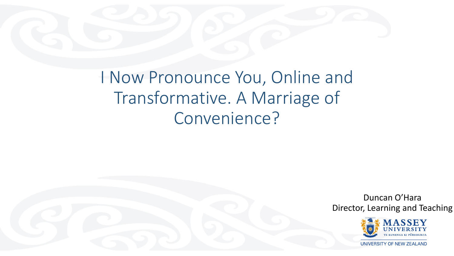

I Now Pronounce You, Online and Transformative. A Marriage of Convenience?

> Duncan O'Hara Director, Learning and Teaching

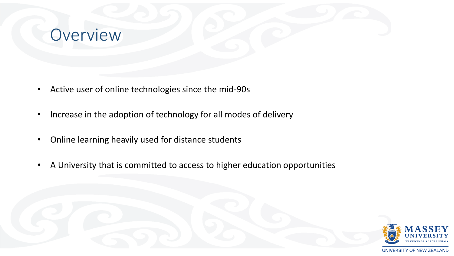

- Active user of online technologies since the mid-90s
- Increase in the adoption of technology for all modes of delivery
- Online learning heavily used for distance students
- A University that is committed to access to higher education opportunities

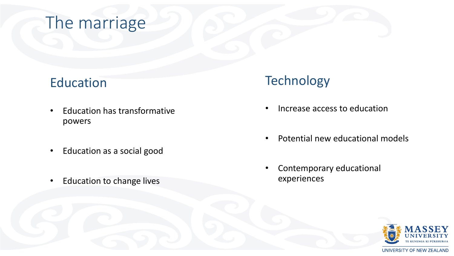## The marriage

#### Education

- Education has transformative powers
- Education as a social good
- Education to change lives

#### **Technology**

- Increase access to education
- Potential new educational models
- Contemporary educational experiences

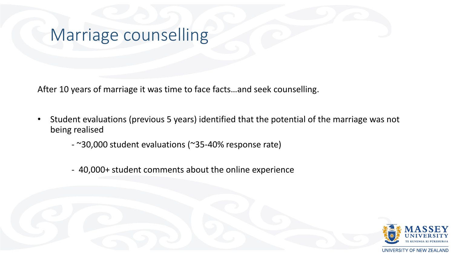## Marriage counselling

After 10 years of marriage it was time to face facts…and seek counselling.

- Student evaluations (previous 5 years) identified that the potential of the marriage was not being realised
	- ~30,000 student evaluations (~35-40% response rate)
	- 40,000+ student comments about the online experience

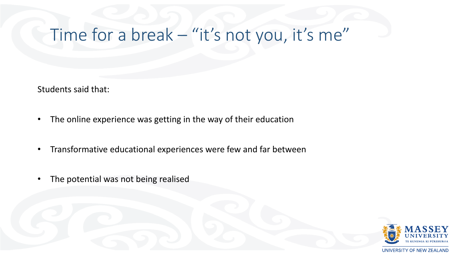# Time for a break – "it's not you, it's me"

Students said that:

- The online experience was getting in the way of their education
- Transformative educational experiences were few and far between
- The potential was not being realised

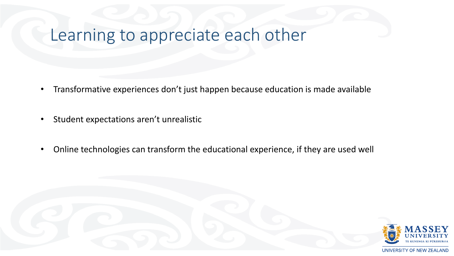# Learning to appreciate each other

- Transformative experiences don't just happen because education is made available
- Student expectations aren't unrealistic
- Online technologies can transform the educational experience, if they are used well